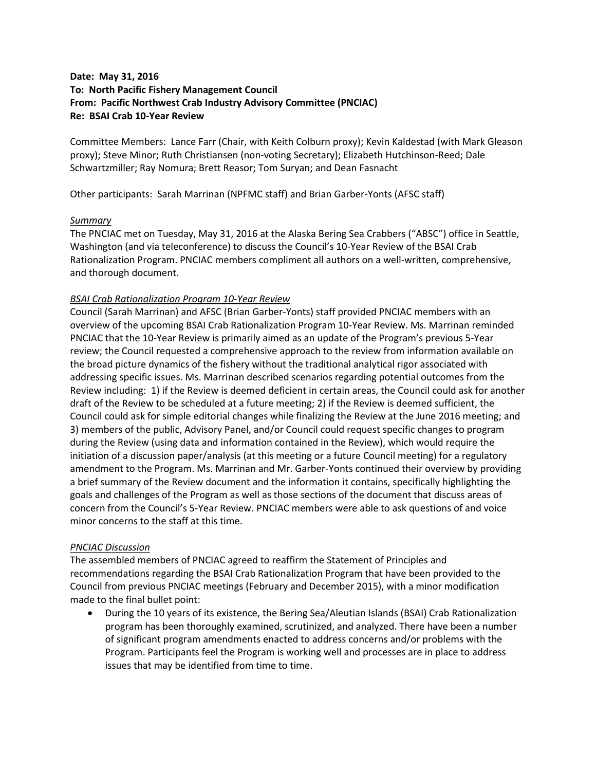## **Date: May 31, 2016 To: North Pacific Fishery Management Council From: Pacific Northwest Crab Industry Advisory Committee (PNCIAC) Re: BSAI Crab 10-Year Review**

Committee Members: Lance Farr (Chair, with Keith Colburn proxy); Kevin Kaldestad (with Mark Gleason proxy); Steve Minor; Ruth Christiansen (non-voting Secretary); Elizabeth Hutchinson-Reed; Dale Schwartzmiller; Ray Nomura; Brett Reasor; Tom Suryan; and Dean Fasnacht

Other participants: Sarah Marrinan (NPFMC staff) and Brian Garber-Yonts (AFSC staff)

## *Summary*

The PNCIAC met on Tuesday, May 31, 2016 at the Alaska Bering Sea Crabbers ("ABSC") office in Seattle, Washington (and via teleconference) to discuss the Council's 10-Year Review of the BSAI Crab Rationalization Program. PNCIAC members compliment all authors on a well-written, comprehensive, and thorough document.

## *BSAI Crab Rationalization Program 10-Year Review*

Council (Sarah Marrinan) and AFSC (Brian Garber-Yonts) staff provided PNCIAC members with an overview of the upcoming BSAI Crab Rationalization Program 10-Year Review. Ms. Marrinan reminded PNCIAC that the 10-Year Review is primarily aimed as an update of the Program's previous 5-Year review; the Council requested a comprehensive approach to the review from information available on the broad picture dynamics of the fishery without the traditional analytical rigor associated with addressing specific issues. Ms. Marrinan described scenarios regarding potential outcomes from the Review including: 1) if the Review is deemed deficient in certain areas, the Council could ask for another draft of the Review to be scheduled at a future meeting; 2) if the Review is deemed sufficient, the Council could ask for simple editorial changes while finalizing the Review at the June 2016 meeting; and 3) members of the public, Advisory Panel, and/or Council could request specific changes to program during the Review (using data and information contained in the Review), which would require the initiation of a discussion paper/analysis (at this meeting or a future Council meeting) for a regulatory amendment to the Program. Ms. Marrinan and Mr. Garber-Yonts continued their overview by providing a brief summary of the Review document and the information it contains, specifically highlighting the goals and challenges of the Program as well as those sections of the document that discuss areas of concern from the Council's 5-Year Review. PNCIAC members were able to ask questions of and voice minor concerns to the staff at this time.

## *PNCIAC Discussion*

The assembled members of PNCIAC agreed to reaffirm the Statement of Principles and recommendations regarding the BSAI Crab Rationalization Program that have been provided to the Council from previous PNCIAC meetings (February and December 2015), with a minor modification made to the final bullet point:

• During the 10 years of its existence, the Bering Sea/Aleutian Islands (BSAI) Crab Rationalization program has been thoroughly examined, scrutinized, and analyzed. There have been a number of significant program amendments enacted to address concerns and/or problems with the Program. Participants feel the Program is working well and processes are in place to address issues that may be identified from time to time.